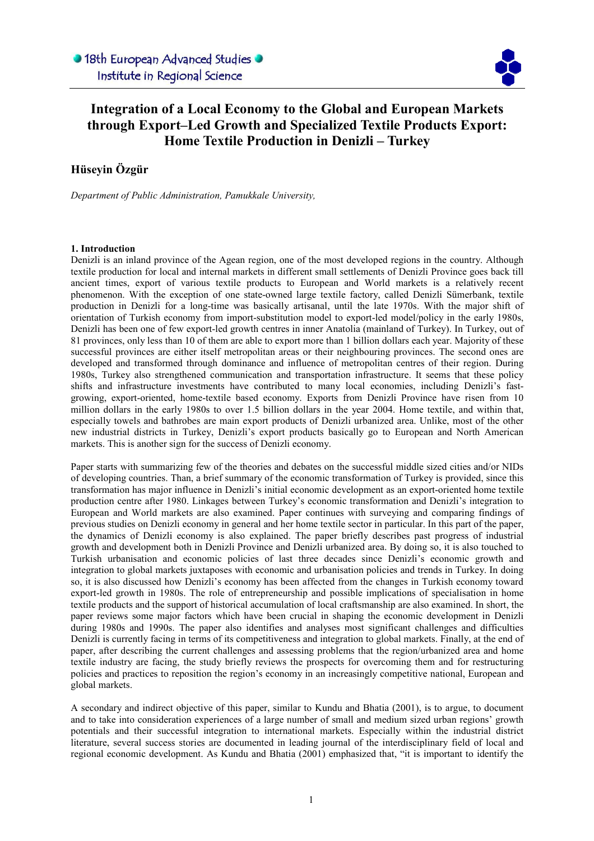

## Integration of a Local Economy to the Global and European Markets through Export–Led Growth and Specialized Textile Products Export: Home Textile Production in Denizli – Turkey

l

## Hüseyin Özgür

Department of Public Administration, Pamukkale University,

### 1. Introduction

Denizli is an inland province of the Agean region, one of the most developed regions in the country. Although textile production for local and internal markets in different small settlements of Denizli Province goes back till ancient times, export of various textile products to European and World markets is a relatively recent phenomenon. With the exception of one state-owned large textile factory, called Denizli Sümerbank, textile production in Denizli for a long-time was basically artisanal, until the late 1970s. With the major shift of orientation of Turkish economy from import-substitution model to export-led model/policy in the early 1980s, Denizli has been one of few export-led growth centres in inner Anatolia (mainland of Turkey). In Turkey, out of 81 provinces, only less than 10 of them are able to export more than 1 billion dollars each year. Majority of these successful provinces are either itself metropolitan areas or their neighbouring provinces. The second ones are developed and transformed through dominance and influence of metropolitan centres of their region. During 1980s, Turkey also strengthened communication and transportation infrastructure. It seems that these policy shifts and infrastructure investments have contributed to many local economies, including Denizli's fastgrowing, export-oriented, home-textile based economy. Exports from Denizli Province have risen from 10 million dollars in the early 1980s to over 1.5 billion dollars in the year 2004. Home textile, and within that, especially towels and bathrobes are main export products of Denizli urbanized area. Unlike, most of the other new industrial districts in Turkey, Denizli's export products basically go to European and North American markets. This is another sign for the success of Denizli economy.

Paper starts with summarizing few of the theories and debates on the successful middle sized cities and/or NIDs of developing countries. Than, a brief summary of the economic transformation of Turkey is provided, since this transformation has major influence in Denizli's initial economic development as an export-oriented home textile production centre after 1980. Linkages between Turkey's economic transformation and Denizli's integration to European and World markets are also examined. Paper continues with surveying and comparing findings of previous studies on Denizli economy in general and her home textile sector in particular. In this part of the paper, the dynamics of Denizli economy is also explained. The paper briefly describes past progress of industrial growth and development both in Denizli Province and Denizli urbanized area. By doing so, it is also touched to Turkish urbanisation and economic policies of last three decades since Denizli's economic growth and integration to global markets juxtaposes with economic and urbanisation policies and trends in Turkey. In doing so, it is also discussed how Denizli's economy has been affected from the changes in Turkish economy toward export-led growth in 1980s. The role of entrepreneurship and possible implications of specialisation in home textile products and the support of historical accumulation of local craftsmanship are also examined. In short, the paper reviews some major factors which have been crucial in shaping the economic development in Denizli during 1980s and 1990s. The paper also identifies and analyses most significant challenges and difficulties Denizli is currently facing in terms of its competitiveness and integration to global markets. Finally, at the end of paper, after describing the current challenges and assessing problems that the region/urbanized area and home textile industry are facing, the study briefly reviews the prospects for overcoming them and for restructuring policies and practices to reposition the region's economy in an increasingly competitive national, European and global markets.

A secondary and indirect objective of this paper, similar to Kundu and Bhatia (2001), is to argue, to document and to take into consideration experiences of a large number of small and medium sized urban regions' growth potentials and their successful integration to international markets. Especially within the industrial district literature, several success stories are documented in leading journal of the interdisciplinary field of local and regional economic development. As Kundu and Bhatia (2001) emphasized that, "it is important to identify the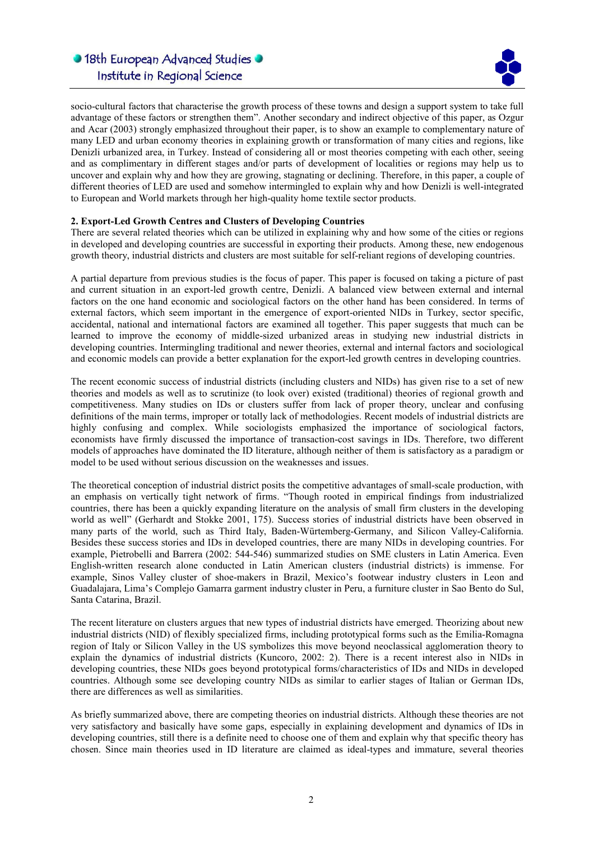

socio-cultural factors that characterise the growth process of these towns and design a support system to take full advantage of these factors or strengthen them". Another secondary and indirect objective of this paper, as Ozgur and Acar (2003) strongly emphasized throughout their paper, is to show an example to complementary nature of many LED and urban economy theories in explaining growth or transformation of many cities and regions, like Denizli urbanized area, in Turkey. Instead of considering all or most theories competing with each other, seeing and as complimentary in different stages and/or parts of development of localities or regions may help us to uncover and explain why and how they are growing, stagnating or declining. Therefore, in this paper, a couple of different theories of LED are used and somehow intermingled to explain why and how Denizli is well-integrated to European and World markets through her high-quality home textile sector products.

l

### 2. Export-Led Growth Centres and Clusters of Developing Countries

There are several related theories which can be utilized in explaining why and how some of the cities or regions in developed and developing countries are successful in exporting their products. Among these, new endogenous growth theory, industrial districts and clusters are most suitable for self-reliant regions of developing countries.

A partial departure from previous studies is the focus of paper. This paper is focused on taking a picture of past and current situation in an export-led growth centre, Denizli. A balanced view between external and internal factors on the one hand economic and sociological factors on the other hand has been considered. In terms of external factors, which seem important in the emergence of export-oriented NIDs in Turkey, sector specific, accidental, national and international factors are examined all together. This paper suggests that much can be learned to improve the economy of middle-sized urbanized areas in studying new industrial districts in developing countries. Intermingling traditional and newer theories, external and internal factors and sociological and economic models can provide a better explanation for the export-led growth centres in developing countries.

The recent economic success of industrial districts (including clusters and NIDs) has given rise to a set of new theories and models as well as to scrutinize (to look over) existed (traditional) theories of regional growth and competitiveness. Many studies on IDs or clusters suffer from lack of proper theory, unclear and confusing definitions of the main terms, improper or totally lack of methodologies. Recent models of industrial districts are highly confusing and complex. While sociologists emphasized the importance of sociological factors, economists have firmly discussed the importance of transaction-cost savings in IDs. Therefore, two different models of approaches have dominated the ID literature, although neither of them is satisfactory as a paradigm or model to be used without serious discussion on the weaknesses and issues.

The theoretical conception of industrial district posits the competitive advantages of small-scale production, with an emphasis on vertically tight network of firms. "Though rooted in empirical findings from industrialized countries, there has been a quickly expanding literature on the analysis of small firm clusters in the developing world as well" (Gerhardt and Stokke 2001, 175). Success stories of industrial districts have been observed in many parts of the world, such as Third Italy, Baden-Würtemberg-Germany, and Silicon Valley-California. Besides these success stories and IDs in developed countries, there are many NIDs in developing countries. For example, Pietrobelli and Barrera (2002: 544-546) summarized studies on SME clusters in Latin America. Even English-written research alone conducted in Latin American clusters (industrial districts) is immense. For example, Sinos Valley cluster of shoe-makers in Brazil, Mexico's footwear industry clusters in Leon and Guadalajara, Lima's Complejo Gamarra garment industry cluster in Peru, a furniture cluster in Sao Bento do Sul, Santa Catarina, Brazil.

The recent literature on clusters argues that new types of industrial districts have emerged. Theorizing about new industrial districts (NID) of flexibly specialized firms, including prototypical forms such as the Emilia-Romagna region of Italy or Silicon Valley in the US symbolizes this move beyond neoclassical agglomeration theory to explain the dynamics of industrial districts (Kuncoro, 2002: 2). There is a recent interest also in NIDs in developing countries, these NIDs goes beyond prototypical forms/characteristics of IDs and NIDs in developed countries. Although some see developing country NIDs as similar to earlier stages of Italian or German IDs, there are differences as well as similarities.

As briefly summarized above, there are competing theories on industrial districts. Although these theories are not very satisfactory and basically have some gaps, especially in explaining development and dynamics of IDs in developing countries, still there is a definite need to choose one of them and explain why that specific theory has chosen. Since main theories used in ID literature are claimed as ideal-types and immature, several theories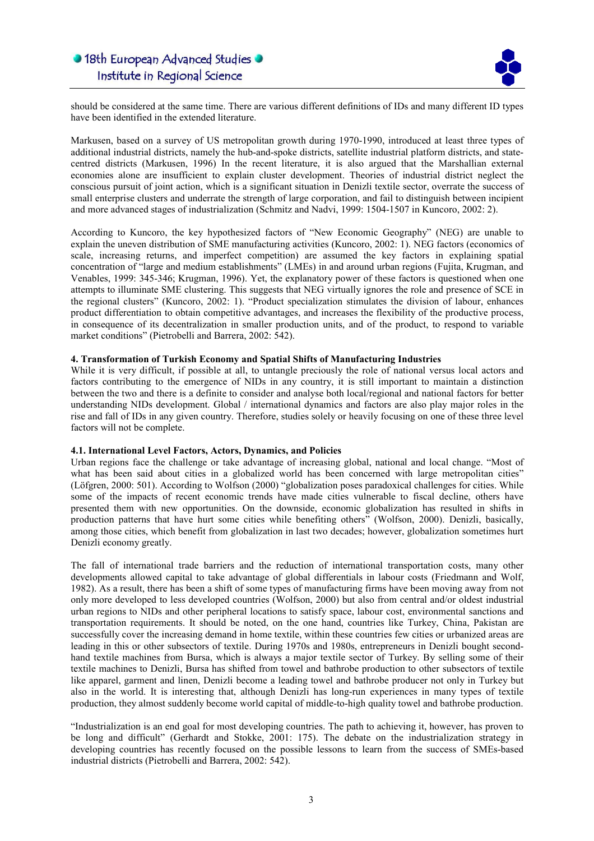

should be considered at the same time. There are various different definitions of IDs and many different ID types have been identified in the extended literature.

l

Markusen, based on a survey of US metropolitan growth during 1970-1990, introduced at least three types of additional industrial districts, namely the hub-and-spoke districts, satellite industrial platform districts, and statecentred districts (Markusen, 1996) In the recent literature, it is also argued that the Marshallian external economies alone are insufficient to explain cluster development. Theories of industrial district neglect the conscious pursuit of joint action, which is a significant situation in Denizli textile sector, overrate the success of small enterprise clusters and underrate the strength of large corporation, and fail to distinguish between incipient and more advanced stages of industrialization (Schmitz and Nadvi, 1999: 1504-1507 in Kuncoro, 2002: 2).

According to Kuncoro, the key hypothesized factors of "New Economic Geography" (NEG) are unable to explain the uneven distribution of SME manufacturing activities (Kuncoro, 2002: 1). NEG factors (economics of scale, increasing returns, and imperfect competition) are assumed the key factors in explaining spatial concentration of "large and medium establishments" (LMEs) in and around urban regions (Fujita, Krugman, and Venables, 1999: 345-346; Krugman, 1996). Yet, the explanatory power of these factors is questioned when one attempts to illuminate SME clustering. This suggests that NEG virtually ignores the role and presence of SCE in the regional clusters" (Kuncoro, 2002: 1). "Product specialization stimulates the division of labour, enhances product differentiation to obtain competitive advantages, and increases the flexibility of the productive process, in consequence of its decentralization in smaller production units, and of the product, to respond to variable market conditions" (Pietrobelli and Barrera, 2002: 542).

### 4. Transformation of Turkish Economy and Spatial Shifts of Manufacturing Industries

While it is very difficult, if possible at all, to untangle preciously the role of national versus local actors and factors contributing to the emergence of NIDs in any country, it is still important to maintain a distinction between the two and there is a definite to consider and analyse both local/regional and national factors for better understanding NIDs development. Global / international dynamics and factors are also play major roles in the rise and fall of IDs in any given country. Therefore, studies solely or heavily focusing on one of these three level factors will not be complete.

#### 4.1. International Level Factors, Actors, Dynamics, and Policies

Urban regions face the challenge or take advantage of increasing global, national and local change. "Most of what has been said about cities in a globalized world has been concerned with large metropolitan cities" (Löfgren, 2000: 501). According to Wolfson (2000) "globalization poses paradoxical challenges for cities. While some of the impacts of recent economic trends have made cities vulnerable to fiscal decline, others have presented them with new opportunities. On the downside, economic globalization has resulted in shifts in production patterns that have hurt some cities while benefiting others" (Wolfson, 2000). Denizli, basically, among those cities, which benefit from globalization in last two decades; however, globalization sometimes hurt Denizli economy greatly.

The fall of international trade barriers and the reduction of international transportation costs, many other developments allowed capital to take advantage of global differentials in labour costs (Friedmann and Wolf, 1982). As a result, there has been a shift of some types of manufacturing firms have been moving away from not only more developed to less developed countries (Wolfson, 2000) but also from central and/or oldest industrial urban regions to NIDs and other peripheral locations to satisfy space, labour cost, environmental sanctions and transportation requirements. It should be noted, on the one hand, countries like Turkey, China, Pakistan are successfully cover the increasing demand in home textile, within these countries few cities or urbanized areas are leading in this or other subsectors of textile. During 1970s and 1980s, entrepreneurs in Denizli bought secondhand textile machines from Bursa, which is always a major textile sector of Turkey. By selling some of their textile machines to Denizli, Bursa has shifted from towel and bathrobe production to other subsectors of textile like apparel, garment and linen, Denizli become a leading towel and bathrobe producer not only in Turkey but also in the world. It is interesting that, although Denizli has long-run experiences in many types of textile production, they almost suddenly become world capital of middle-to-high quality towel and bathrobe production.

"Industrialization is an end goal for most developing countries. The path to achieving it, however, has proven to be long and difficult" (Gerhardt and Stokke, 2001: 175). The debate on the industrialization strategy in developing countries has recently focused on the possible lessons to learn from the success of SMEs-based industrial districts (Pietrobelli and Barrera, 2002: 542).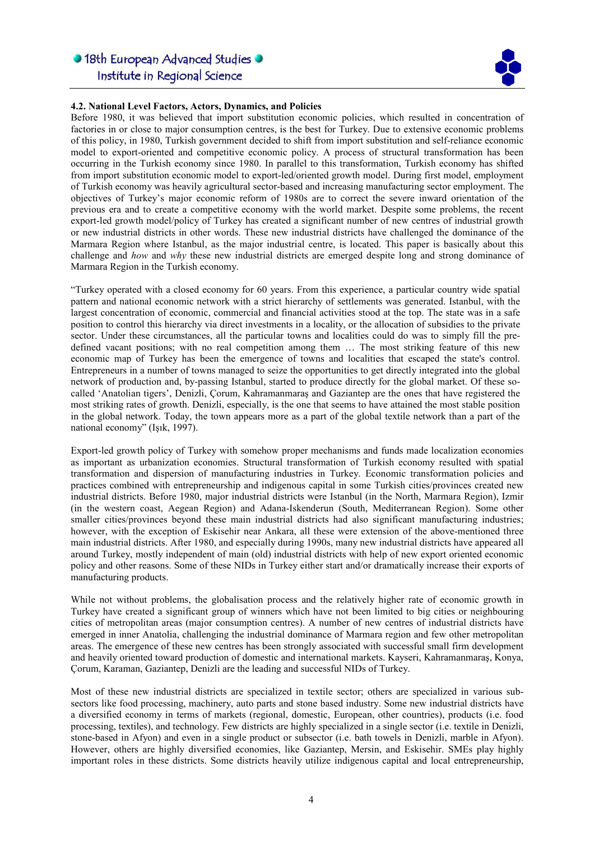

### 4.2. National Level Factors, Actors, Dynamics, and Policies

Before 1980, it was believed that import substitution economic policies, which resulted in concentration of factories in or close to major consumption centres, is the best for Turkey. Due to extensive economic problems of this policy, in 1980, Turkish government decided to shift from import substitution and self-reliance economic model to export-oriented and competitive economic policy. A process of structural transformation has been occurring in the Turkish economy since 1980. In parallel to this transformation, Turkish economy has shifted from import substitution economic model to export-led/oriented growth model. During first model, employment of Turkish economy was heavily agricultural sector-based and increasing manufacturing sector employment. The objectives of Turkey's major economic reform of 1980s are to correct the severe inward orientation of the previous era and to create a competitive economy with the world market. Despite some problems, the recent export-led growth model/policy of Turkey has created a significant number of new centres of industrial growth or new industrial districts in other words. These new industrial districts have challenged the dominance of the Marmara Region where Istanbul, as the major industrial centre, is located. This paper is basically about this challenge and how and why these new industrial districts are emerged despite long and strong dominance of Marmara Region in the Turkish economy.

l

"Turkey operated with a closed economy for 60 years. From this experience, a particular country wide spatial pattern and national economic network with a strict hierarchy of settlements was generated. Istanbul, with the largest concentration of economic, commercial and financial activities stood at the top. The state was in a safe position to control this hierarchy via direct investments in a locality, or the allocation of subsidies to the private sector. Under these circumstances, all the particular towns and localities could do was to simply fill the predefined vacant positions; with no real competition among them … The most striking feature of this new economic map of Turkey has been the emergence of towns and localities that escaped the state's control. Entrepreneurs in a number of towns managed to seize the opportunities to get directly integrated into the global network of production and, by-passing Istanbul, started to produce directly for the global market. Of these socalled 'Anatolian tigers', Denizli, Çorum, Kahramanmaraş and Gaziantep are the ones that have registered the most striking rates of growth. Denizli, especially, is the one that seems to have attained the most stable position in the global network. Today, the town appears more as a part of the global textile network than a part of the national economy" (Işık, 1997).

Export-led growth policy of Turkey with somehow proper mechanisms and funds made localization economies as important as urbanization economies. Structural transformation of Turkish economy resulted with spatial transformation and dispersion of manufacturing industries in Turkey. Economic transformation policies and practices combined with entrepreneurship and indigenous capital in some Turkish cities/provinces created new industrial districts. Before 1980, major industrial districts were Istanbul (in the North, Marmara Region), Izmir (in the western coast, Aegean Region) and Adana-Iskenderun (South, Mediterranean Region). Some other smaller cities/provinces beyond these main industrial districts had also significant manufacturing industries; however, with the exception of Eskisehir near Ankara, all these were extension of the above-mentioned three main industrial districts. After 1980, and especially during 1990s, many new industrial districts have appeared all around Turkey, mostly independent of main (old) industrial districts with help of new export oriented economic policy and other reasons. Some of these NIDs in Turkey either start and/or dramatically increase their exports of manufacturing products.

While not without problems, the globalisation process and the relatively higher rate of economic growth in Turkey have created a significant group of winners which have not been limited to big cities or neighbouring cities of metropolitan areas (major consumption centres). A number of new centres of industrial districts have emerged in inner Anatolia, challenging the industrial dominance of Marmara region and few other metropolitan areas. The emergence of these new centres has been strongly associated with successful small firm development and heavily oriented toward production of domestic and international markets. Kayseri, Kahramanmaraş, Konya, Çorum, Karaman, Gaziantep, Denizli are the leading and successful NIDs of Turkey.

Most of these new industrial districts are specialized in textile sector; others are specialized in various subsectors like food processing, machinery, auto parts and stone based industry. Some new industrial districts have a diversified economy in terms of markets (regional, domestic, European, other countries), products (i.e. food processing, textiles), and technology. Few districts are highly specialized in a single sector (i.e. textile in Denizli, stone-based in Afyon) and even in a single product or subsector (i.e. bath towels in Denizli, marble in Afyon). However, others are highly diversified economies, like Gaziantep, Mersin, and Eskisehir. SMEs play highly important roles in these districts. Some districts heavily utilize indigenous capital and local entrepreneurship,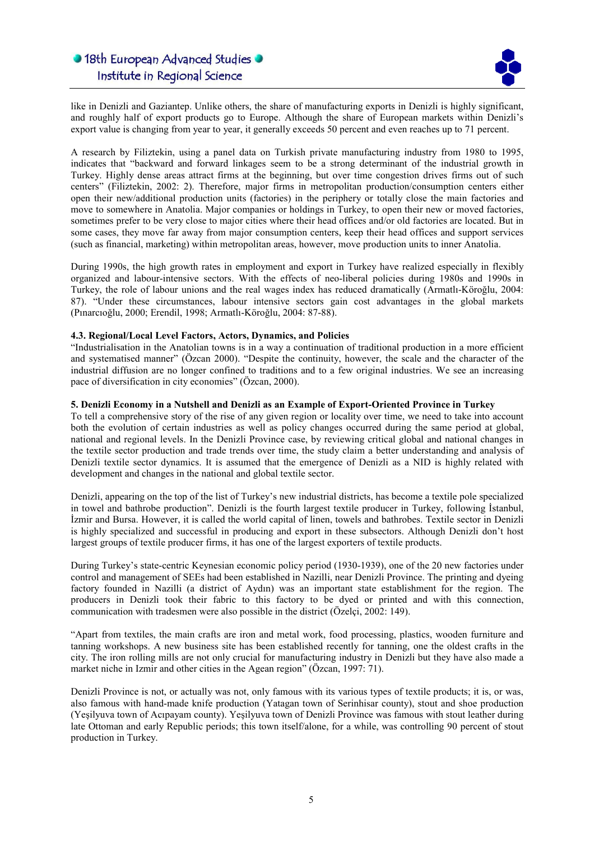

like in Denizli and Gaziantep. Unlike others, the share of manufacturing exports in Denizli is highly significant, and roughly half of export products go to Europe. Although the share of European markets within Denizli's export value is changing from year to year, it generally exceeds 50 percent and even reaches up to 71 percent.

l

A research by Filiztekin, using a panel data on Turkish private manufacturing industry from 1980 to 1995, indicates that "backward and forward linkages seem to be a strong determinant of the industrial growth in Turkey. Highly dense areas attract firms at the beginning, but over time congestion drives firms out of such centers" (Filiztekin, 2002: 2). Therefore, major firms in metropolitan production/consumption centers either open their new/additional production units (factories) in the periphery or totally close the main factories and move to somewhere in Anatolia. Major companies or holdings in Turkey, to open their new or moved factories, sometimes prefer to be very close to major cities where their head offices and/or old factories are located. But in some cases, they move far away from major consumption centers, keep their head offices and support services (such as financial, marketing) within metropolitan areas, however, move production units to inner Anatolia.

During 1990s, the high growth rates in employment and export in Turkey have realized especially in flexibly organized and labour-intensive sectors. With the effects of neo-liberal policies during 1980s and 1990s in Turkey, the role of labour unions and the real wages index has reduced dramatically (Armatlı-Köroğlu, 2004: 87). "Under these circumstances, labour intensive sectors gain cost advantages in the global markets (Pınarcıoğlu, 2000; Erendil, 1998; Armatlı-Köroğlu, 2004: 87-88).

### 4.3. Regional/Local Level Factors, Actors, Dynamics, and Policies

"Industrialisation in the Anatolian towns is in a way a continuation of traditional production in a more efficient and systematised manner" (Özcan 2000). "Despite the continuity, however, the scale and the character of the industrial diffusion are no longer confined to traditions and to a few original industries. We see an increasing pace of diversification in city economies" (Özcan, 2000).

### 5. Denizli Economy in a Nutshell and Denizli as an Example of Export-Oriented Province in Turkey

To tell a comprehensive story of the rise of any given region or locality over time, we need to take into account both the evolution of certain industries as well as policy changes occurred during the same period at global, national and regional levels. In the Denizli Province case, by reviewing critical global and national changes in the textile sector production and trade trends over time, the study claim a better understanding and analysis of Denizli textile sector dynamics. It is assumed that the emergence of Denizli as a NID is highly related with development and changes in the national and global textile sector.

Denizli, appearing on the top of the list of Turkey's new industrial districts, has become a textile pole specialized in towel and bathrobe production". Denizli is the fourth largest textile producer in Turkey, following İstanbul, İzmir and Bursa. However, it is called the world capital of linen, towels and bathrobes. Textile sector in Denizli is highly specialized and successful in producing and export in these subsectors. Although Denizli don't host largest groups of textile producer firms, it has one of the largest exporters of textile products.

During Turkey's state-centric Keynesian economic policy period (1930-1939), one of the 20 new factories under control and management of SEEs had been established in Nazilli, near Denizli Province. The printing and dyeing factory founded in Nazilli (a district of Aydın) was an important state establishment for the region. The producers in Denizli took their fabric to this factory to be dyed or printed and with this connection, communication with tradesmen were also possible in the district (Özelçi, 2002: 149).

"Apart from textiles, the main crafts are iron and metal work, food processing, plastics, wooden furniture and tanning workshops. A new business site has been established recently for tanning, one the oldest crafts in the city. The iron rolling mills are not only crucial for manufacturing industry in Denizli but they have also made a market niche in Izmir and other cities in the Agean region" (Özcan, 1997: 71).

Denizli Province is not, or actually was not, only famous with its various types of textile products; it is, or was, also famous with hand-made knife production (Yatagan town of Serinhisar county), stout and shoe production (Yeşilyuva town of Acıpayam county). Yeşilyuva town of Denizli Province was famous with stout leather during late Ottoman and early Republic periods; this town itself/alone, for a while, was controlling 90 percent of stout production in Turkey.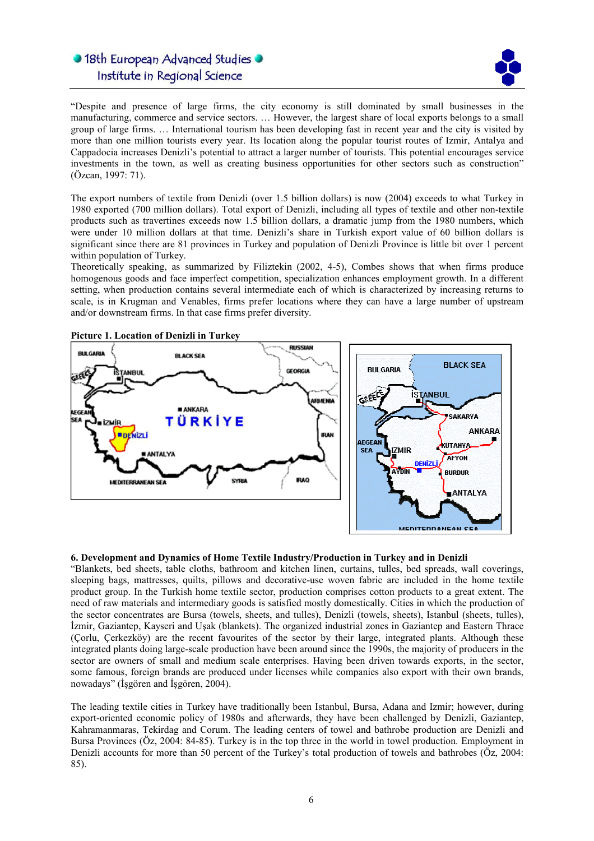

"Despite and presence of large firms, the city economy is still dominated by small businesses in the manufacturing, commerce and service sectors. … However, the largest share of local exports belongs to a small group of large firms. … International tourism has been developing fast in recent year and the city is visited by more than one million tourists every year. Its location along the popular tourist routes of Izmir, Antalya and Cappadocia increases Denizli's potential to attract a larger number of tourists. This potential encourages service investments in the town, as well as creating business opportunities for other sectors such as construction" (Özcan, 1997: 71).

l

The export numbers of textile from Denizli (over 1.5 billion dollars) is now (2004) exceeds to what Turkey in 1980 exported (700 million dollars). Total export of Denizli, including all types of textile and other non-textile products such as travertines exceeds now 1.5 billion dollars, a dramatic jump from the 1980 numbers, which were under 10 million dollars at that time. Denizli's share in Turkish export value of 60 billion dollars is significant since there are 81 provinces in Turkey and population of Denizli Province is little bit over 1 percent within population of Turkey.

Theoretically speaking, as summarized by Filiztekin (2002, 4-5), Combes shows that when firms produce homogenous goods and face imperfect competition, specialization enhances employment growth. In a different setting, when production contains several intermediate each of which is characterized by increasing returns to scale, is in Krugman and Venables, firms prefer locations where they can have a large number of upstream and/or downstream firms. In that case firms prefer diversity.



#### 6. Development and Dynamics of Home Textile Industry/Production in Turkey and in Denizli

"Blankets, bed sheets, table cloths, bathroom and kitchen linen, curtains, tulles, bed spreads, wall coverings, sleeping bags, mattresses, quilts, pillows and decorative-use woven fabric are included in the home textile product group. In the Turkish home textile sector, production comprises cotton products to a great extent. The need of raw materials and intermediary goods is satisfied mostly domestically. Cities in which the production of the sector concentrates are Bursa (towels, sheets, and tulles), Denizli (towels, sheets), Istanbul (sheets, tulles), İzmir, Gaziantep, Kayseri and Uşak (blankets). The organized industrial zones in Gaziantep and Eastern Thrace (Çorlu, Çerkezköy) are the recent favourites of the sector by their large, integrated plants. Although these integrated plants doing large-scale production have been around since the 1990s, the majority of producers in the sector are owners of small and medium scale enterprises. Having been driven towards exports, in the sector, some famous, foreign brands are produced under licenses while companies also export with their own brands, nowadays" (İşgören and İşgören, 2004).

The leading textile cities in Turkey have traditionally been Istanbul, Bursa, Adana and Izmir; however, during export-oriented economic policy of 1980s and afterwards, they have been challenged by Denizli, Gaziantep, Kahramanmaras, Tekirdag and Corum. The leading centers of towel and bathrobe production are Denizli and Bursa Provinces (Öz, 2004: 84-85). Turkey is in the top three in the world in towel production. Employment in Denizli accounts for more than 50 percent of the Turkey's total production of towels and bathrobes (Öz, 2004: 85).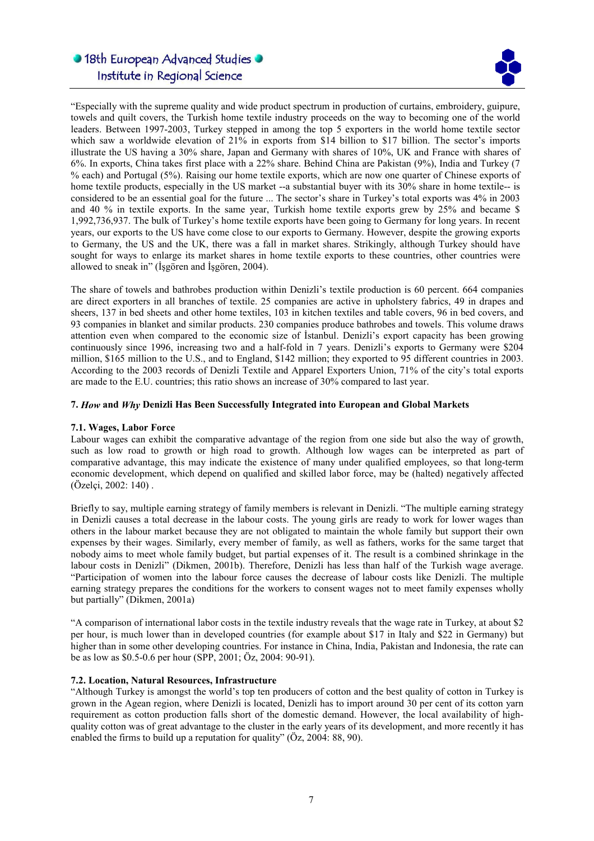

"Especially with the supreme quality and wide product spectrum in production of curtains, embroidery, guipure, towels and quilt covers, the Turkish home textile industry proceeds on the way to becoming one of the world leaders. Between 1997-2003, Turkey stepped in among the top 5 exporters in the world home textile sector which saw a worldwide elevation of 21% in exports from \$14 billion to \$17 billion. The sector's imports illustrate the US having a 30% share, Japan and Germany with shares of 10%, UK and France with shares of 6%. In exports, China takes first place with a 22% share. Behind China are Pakistan (9%), India and Turkey (7 % each) and Portugal (5%). Raising our home textile exports, which are now one quarter of Chinese exports of home textile products, especially in the US market --a substantial buyer with its 30% share in home textile-- is considered to be an essential goal for the future ... The sector's share in Turkey's total exports was 4% in 2003 and 40 % in textile exports. In the same year, Turkish home textile exports grew by 25% and became \$ 1,992,736,937. The bulk of Turkey's home textile exports have been going to Germany for long years. In recent years, our exports to the US have come close to our exports to Germany. However, despite the growing exports to Germany, the US and the UK, there was a fall in market shares. Strikingly, although Turkey should have sought for ways to enlarge its market shares in home textile exports to these countries, other countries were allowed to sneak in" (İşgören and İşgören, 2004).

l

The share of towels and bathrobes production within Denizli's textile production is 60 percent. 664 companies are direct exporters in all branches of textile. 25 companies are active in upholstery fabrics, 49 in drapes and sheers, 137 in bed sheets and other home textiles, 103 in kitchen textiles and table covers, 96 in bed covers, and 93 companies in blanket and similar products. 230 companies produce bathrobes and towels. This volume draws attention even when compared to the economic size of İstanbul. Denizli's export capacity has been growing continuously since 1996, increasing two and a half-fold in 7 years. Denizli's exports to Germany were \$204 million, \$165 million to the U.S., and to England, \$142 million; they exported to 95 different countries in 2003. According to the 2003 records of Denizli Textile and Apparel Exporters Union, 71% of the city's total exports are made to the E.U. countries; this ratio shows an increase of 30% compared to last year.

### 7. How and Why Denizli Has Been Successfully Integrated into European and Global Markets

#### 7.1. Wages, Labor Force

Labour wages can exhibit the comparative advantage of the region from one side but also the way of growth, such as low road to growth or high road to growth. Although low wages can be interpreted as part of comparative advantage, this may indicate the existence of many under qualified employees, so that long-term economic development, which depend on qualified and skilled labor force, may be (halted) negatively affected (Özelçi, 2002: 140) .

Briefly to say, multiple earning strategy of family members is relevant in Denizli. "The multiple earning strategy in Denizli causes a total decrease in the labour costs. The young girls are ready to work for lower wages than others in the labour market because they are not obligated to maintain the whole family but support their own expenses by their wages. Similarly, every member of family, as well as fathers, works for the same target that nobody aims to meet whole family budget, but partial expenses of it. The result is a combined shrinkage in the labour costs in Denizli" (Dikmen, 2001b). Therefore, Denizli has less than half of the Turkish wage average. "Participation of women into the labour force causes the decrease of labour costs like Denizli. The multiple earning strategy prepares the conditions for the workers to consent wages not to meet family expenses wholly but partially" (Dikmen, 2001a)

"A comparison of international labor costs in the textile industry reveals that the wage rate in Turkey, at about \$2 per hour, is much lower than in developed countries (for example about \$17 in Italy and \$22 in Germany) but higher than in some other developing countries. For instance in China, India, Pakistan and Indonesia, the rate can be as low as \$0.5-0.6 per hour (SPP, 2001; Öz, 2004: 90-91).

### 7.2. Location, Natural Resources, Infrastructure

"Although Turkey is amongst the world's top ten producers of cotton and the best quality of cotton in Turkey is grown in the Agean region, where Denizli is located, Denizli has to import around 30 per cent of its cotton yarn requirement as cotton production falls short of the domestic demand. However, the local availability of highquality cotton was of great advantage to the cluster in the early years of its development, and more recently it has enabled the firms to build up a reputation for quality" (Öz, 2004: 88, 90).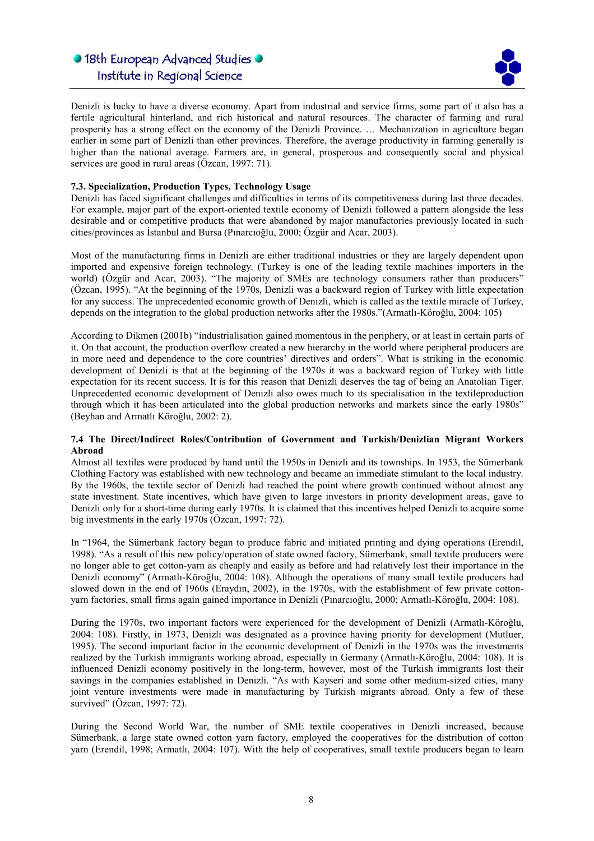

Denizli is lucky to have a diverse economy. Apart from industrial and service firms, some part of it also has a fertile agricultural hinterland, and rich historical and natural resources. The character of farming and rural prosperity has a strong effect on the economy of the Denizli Province. … Mechanization in agriculture began earlier in some part of Denizli than other provinces. Therefore, the average productivity in farming generally is higher than the national average. Farmers are, in general, prosperous and consequently social and physical services are good in rural areas (Özcan, 1997: 71).

l

## 7.3. Specialization, Production Types, Technology Usage

Denizli has faced significant challenges and difficulties in terms of its competitiveness during last three decades. For example, major part of the export-oriented textile economy of Denizli followed a pattern alongside the less desirable and or competitive products that were abandoned by major manufactories previously located in such cities/provinces as İstanbul and Bursa (Pınarcıoğlu, 2000; Özgür and Acar, 2003).

Most of the manufacturing firms in Denizli are either traditional industries or they are largely dependent upon imported and expensive foreign technology. (Turkey is one of the leading textile machines importers in the world) (Özgür and Acar, 2003). "The majority of SMEs are technology consumers rather than producers" (Özcan, 1995). "At the beginning of the 1970s, Denizli was a backward region of Turkey with little expectation for any success. The unprecedented economic growth of Denizli, which is called as the textile miracle of Turkey, depends on the integration to the global production networks after the 1980s."(Armatlı-Köroğlu, 2004: 105)

According to Dikmen (2001b) "industrialisation gained momentous in the periphery, or at least in certain parts of it. On that account, the production overflow created a new hierarchy in the world where peripheral producers are in more need and dependence to the core countries' directives and orders". What is striking in the economic development of Denizli is that at the beginning of the 1970s it was a backward region of Turkey with little expectation for its recent success. It is for this reason that Denizli deserves the tag of being an Anatolian Tiger. Unprecedented economic development of Denizli also owes much to its specialisation in the textileproduction through which it has been articulated into the global production networks and markets since the early 1980s" (Beyhan and Armatlı Köroğlu, 2002: 2).

### 7.4 The Direct/Indirect Roles/Contribution of Government and Turkish/Denizlian Migrant Workers Abroad

Almost all textiles were produced by hand until the 1950s in Denizli and its townships. In 1953, the Sümerbank Clothing Factory was established with new technology and became an immediate stimulant to the local industry. By the 1960s, the textile sector of Denizli had reached the point where growth continued without almost any state investment. State incentives, which have given to large investors in priority development areas, gave to Denizli only for a short-time during early 1970s. It is claimed that this incentives helped Denizli to acquire some big investments in the early 1970s (Özcan, 1997: 72).

In "1964, the Sümerbank factory began to produce fabric and initiated printing and dying operations (Erendil, 1998). "As a result of this new policy/operation of state owned factory, Sümerbank, small textile producers were no longer able to get cotton-yarn as cheaply and easily as before and had relatively lost their importance in the Denizli economy" (Armatlı-Köroğlu, 2004: 108). Although the operations of many small textile producers had slowed down in the end of 1960s (Eraydın, 2002), in the 1970s, with the establishment of few private cottonyarn factories, small firms again gained importance in Denizli (Pınarcıoğlu, 2000; Armatlı-Köroğlu, 2004: 108).

During the 1970s, two important factors were experienced for the development of Denizli (Armatlı-Köroğlu, 2004: 108). Firstly, in 1973, Denizli was designated as a province having priority for development (Mutluer, 1995). The second important factor in the economic development of Denizli in the 1970s was the investments realized by the Turkish immigrants working abroad, especially in Germany (Armatlı-Köroğlu, 2004: 108). It is influenced Denizli economy positively in the long-term, however, most of the Turkish immigrants lost their savings in the companies established in Denizli. "As with Kayseri and some other medium-sized cities, many joint venture investments were made in manufacturing by Turkish migrants abroad. Only a few of these survived" (Özcan, 1997: 72).

During the Second World War, the number of SME textile cooperatives in Denizli increased, because Sümerbank, a large state owned cotton yarn factory, employed the cooperatives for the distribution of cotton yarn (Erendil, 1998; Armatlı, 2004: 107). With the help of cooperatives, small textile producers began to learn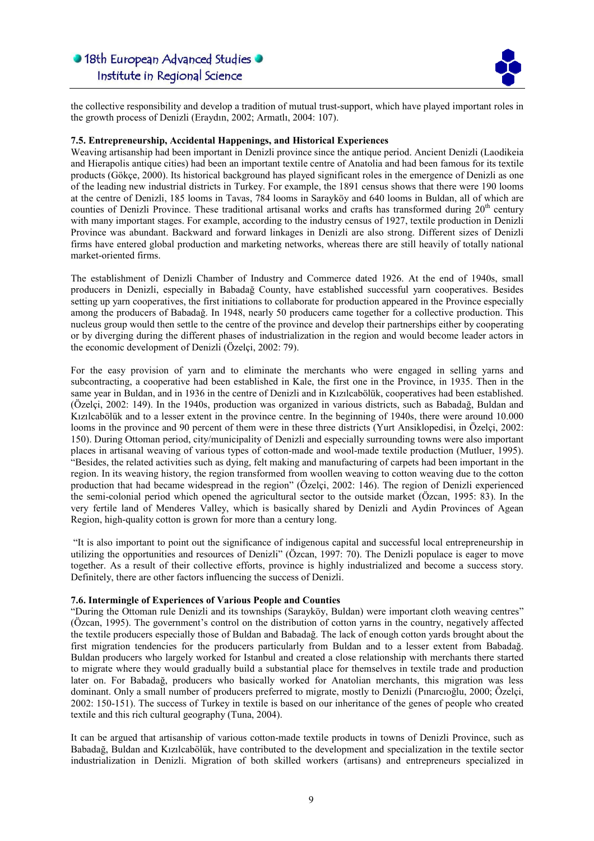

the collective responsibility and develop a tradition of mutual trust-support, which have played important roles in the growth process of Denizli (Eraydın, 2002; Armatlı, 2004: 107).

l

### 7.5. Entrepreneurship, Accidental Happenings, and Historical Experiences

Weaving artisanship had been important in Denizli province since the antique period. Ancient Denizli (Laodikeia and Hierapolis antique cities) had been an important textile centre of Anatolia and had been famous for its textile products (Gökçe, 2000). Its historical background has played significant roles in the emergence of Denizli as one of the leading new industrial districts in Turkey. For example, the 1891 census shows that there were 190 looms at the centre of Denizli, 185 looms in Tavas, 784 looms in Sarayköy and 640 looms in Buldan, all of which are counties of Denizli Province. These traditional artisanal works and crafts has transformed during 20<sup>th</sup> century with many important stages. For example, according to the industry census of 1927, textile production in Denizli Province was abundant. Backward and forward linkages in Denizli are also strong. Different sizes of Denizli firms have entered global production and marketing networks, whereas there are still heavily of totally national market-oriented firms.

The establishment of Denizli Chamber of Industry and Commerce dated 1926. At the end of 1940s, small producers in Denizli, especially in Babadağ County, have established successful yarn cooperatives. Besides setting up yarn cooperatives, the first initiations to collaborate for production appeared in the Province especially among the producers of Babadağ. In 1948, nearly 50 producers came together for a collective production. This nucleus group would then settle to the centre of the province and develop their partnerships either by cooperating or by diverging during the different phases of industrialization in the region and would become leader actors in the economic development of Denizli (Özelçi, 2002: 79).

For the easy provision of yarn and to eliminate the merchants who were engaged in selling yarns and subcontracting, a cooperative had been established in Kale, the first one in the Province, in 1935. Then in the same year in Buldan, and in 1936 in the centre of Denizli and in Kızılcabölük, cooperatives had been established. (Özelçi, 2002: 149). In the 1940s, production was organized in various districts, such as Babadağ, Buldan and Kızılcabölük and to a lesser extent in the province centre. In the beginning of 1940s, there were around 10.000 looms in the province and 90 percent of them were in these three districts (Yurt Ansiklopedisi, in Özelçi, 2002: 150). During Ottoman period, city/municipality of Denizli and especially surrounding towns were also important places in artisanal weaving of various types of cotton-made and wool-made textile production (Mutluer, 1995). "Besides, the related activities such as dying, felt making and manufacturing of carpets had been important in the region. In its weaving history, the region transformed from woollen weaving to cotton weaving due to the cotton production that had became widespread in the region" (Özelçi, 2002: 146). The region of Denizli experienced the semi-colonial period which opened the agricultural sector to the outside market (Özcan, 1995: 83). In the very fertile land of Menderes Valley, which is basically shared by Denizli and Aydin Provinces of Agean Region, high-quality cotton is grown for more than a century long.

 "It is also important to point out the significance of indigenous capital and successful local entrepreneurship in utilizing the opportunities and resources of Denizli" (Özcan, 1997: 70). The Denizli populace is eager to move together. As a result of their collective efforts, province is highly industrialized and become a success story. Definitely, there are other factors influencing the success of Denizli.

#### 7.6. Intermingle of Experiences of Various People and Counties

"During the Ottoman rule Denizli and its townships (Sarayköy, Buldan) were important cloth weaving centres" (Özcan, 1995). The government's control on the distribution of cotton yarns in the country, negatively affected the textile producers especially those of Buldan and Babadağ. The lack of enough cotton yards brought about the first migration tendencies for the producers particularly from Buldan and to a lesser extent from Babadağ. Buldan producers who largely worked for Istanbul and created a close relationship with merchants there started to migrate where they would gradually build a substantial place for themselves in textile trade and production later on. For Babadağ, producers who basically worked for Anatolian merchants, this migration was less dominant. Only a small number of producers preferred to migrate, mostly to Denizli (Pınarcıoğlu, 2000; Özelçi, 2002: 150-151). The success of Turkey in textile is based on our inheritance of the genes of people who created textile and this rich cultural geography (Tuna, 2004).

It can be argued that artisanship of various cotton-made textile products in towns of Denizli Province, such as Babadağ, Buldan and Kızılcabölük, have contributed to the development and specialization in the textile sector industrialization in Denizli. Migration of both skilled workers (artisans) and entrepreneurs specialized in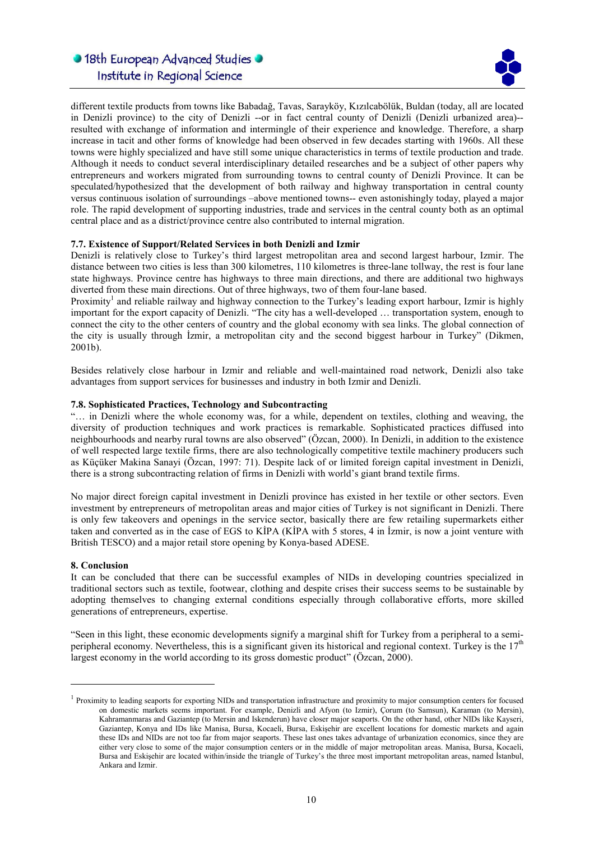

different textile products from towns like Babadağ, Tavas, Sarayköy, Kızılcabölük, Buldan (today, all are located in Denizli province) to the city of Denizli --or in fact central county of Denizli (Denizli urbanized area)- resulted with exchange of information and intermingle of their experience and knowledge. Therefore, a sharp increase in tacit and other forms of knowledge had been observed in few decades starting with 1960s. All these towns were highly specialized and have still some unique characteristics in terms of textile production and trade. Although it needs to conduct several interdisciplinary detailed researches and be a subject of other papers why entrepreneurs and workers migrated from surrounding towns to central county of Denizli Province. It can be speculated/hypothesized that the development of both railway and highway transportation in central county versus continuous isolation of surroundings –above mentioned towns-- even astonishingly today, played a major role. The rapid development of supporting industries, trade and services in the central county both as an optimal central place and as a district/province centre also contributed to internal migration.

l

## 7.7. Existence of Support/Related Services in both Denizli and Izmir

Denizli is relatively close to Turkey's third largest metropolitan area and second largest harbour, Izmir. The distance between two cities is less than 300 kilometres, 110 kilometres is three-lane tollway, the rest is four lane state highways. Province centre has highways to three main directions, and there are additional two highways diverted from these main directions. Out of three highways, two of them four-lane based.

Proximity<sup>1</sup> and reliable railway and highway connection to the Turkey's leading export harbour, Izmir is highly important for the export capacity of Denizli. "The city has a well-developed … transportation system, enough to connect the city to the other centers of country and the global economy with sea links. The global connection of the city is usually through İzmir, a metropolitan city and the second biggest harbour in Turkey" (Dikmen, 2001b).

Besides relatively close harbour in Izmir and reliable and well-maintained road network, Denizli also take advantages from support services for businesses and industry in both Izmir and Denizli.

## 7.8. Sophisticated Practices, Technology and Subcontracting

"… in Denizli where the whole economy was, for a while, dependent on textiles, clothing and weaving, the diversity of production techniques and work practices is remarkable. Sophisticated practices diffused into neighbourhoods and nearby rural towns are also observed" (Özcan, 2000). In Denizli, in addition to the existence of well respected large textile firms, there are also technologically competitive textile machinery producers such as Küçüker Makina Sanayi (Özcan, 1997: 71). Despite lack of or limited foreign capital investment in Denizli, there is a strong subcontracting relation of firms in Denizli with world's giant brand textile firms.

No major direct foreign capital investment in Denizli province has existed in her textile or other sectors. Even investment by entrepreneurs of metropolitan areas and major cities of Turkey is not significant in Denizli. There is only few takeovers and openings in the service sector, basically there are few retailing supermarkets either taken and converted as in the case of EGS to KİPA (KİPA with 5 stores, 4 in İzmir, is now a joint venture with British TESCO) and a major retail store opening by Konya-based ADESE.

#### 8. Conclusion

 $\overline{a}$ 

It can be concluded that there can be successful examples of NIDs in developing countries specialized in traditional sectors such as textile, footwear, clothing and despite crises their success seems to be sustainable by adopting themselves to changing external conditions especially through collaborative efforts, more skilled generations of entrepreneurs, expertise.

"Seen in this light, these economic developments signify a marginal shift for Turkey from a peripheral to a semiperipheral economy. Nevertheless, this is a significant given its historical and regional context. Turkey is the  $17<sup>th</sup>$ largest economy in the world according to its gross domestic product" (Özcan, 2000).

<sup>&</sup>lt;sup>1</sup> Proximity to leading seaports for exporting NIDs and transportation infrastructure and proximity to major consumption centers for focused on domestic markets seems important. For example, Denizli and Afyon (to Izmir), Çorum (to Samsun), Karaman (to Mersin), Kahramanmaras and Gaziantep (to Mersin and Iskenderun) have closer major seaports. On the other hand, other NIDs like Kayseri, Gaziantep, Konya and IDs like Manisa, Bursa, Kocaeli, Bursa, Eskişehir are excellent locations for domestic markets and again these IDs and NIDs are not too far from major seaports. These last ones takes advantage of urbanization economics, since they are either very close to some of the major consumption centers or in the middle of major metropolitan areas. Manisa, Bursa, Kocaeli, Bursa and Eskişehir are located within/inside the triangle of Turkey's the three most important metropolitan areas, named İstanbul, Ankara and Izmir.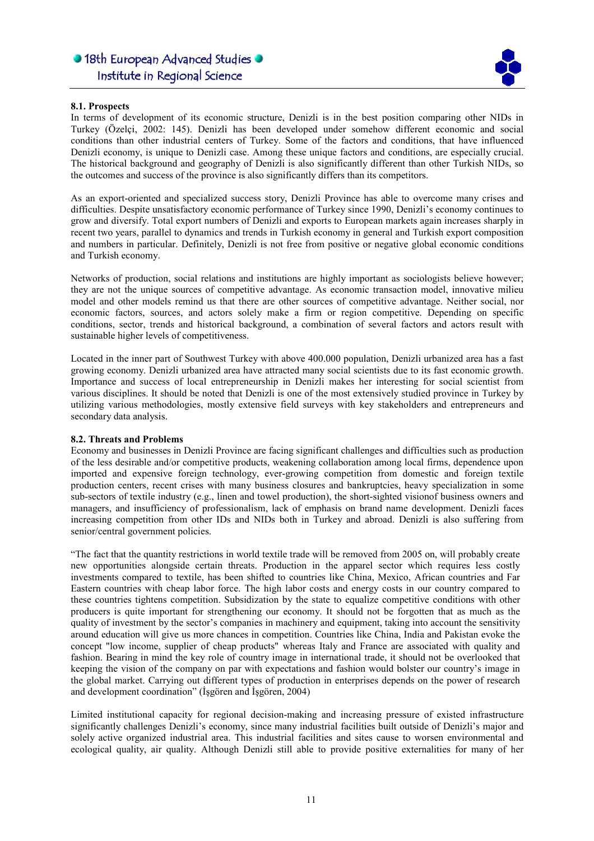

### 8.1. Prospects

In terms of development of its economic structure, Denizli is in the best position comparing other NIDs in Turkey (Özelçi, 2002: 145). Denizli has been developed under somehow different economic and social conditions than other industrial centers of Turkey. Some of the factors and conditions, that have influenced Denizli economy, is unique to Denizli case. Among these unique factors and conditions, are especially crucial. The historical background and geography of Denizli is also significantly different than other Turkish NIDs, so the outcomes and success of the province is also significantly differs than its competitors.

l

As an export-oriented and specialized success story, Denizli Province has able to overcome many crises and difficulties. Despite unsatisfactory economic performance of Turkey since 1990, Denizli's economy continues to grow and diversify. Total export numbers of Denizli and exports to European markets again increases sharply in recent two years, parallel to dynamics and trends in Turkish economy in general and Turkish export composition and numbers in particular. Definitely, Denizli is not free from positive or negative global economic conditions and Turkish economy.

Networks of production, social relations and institutions are highly important as sociologists believe however; they are not the unique sources of competitive advantage. As economic transaction model, innovative milieu model and other models remind us that there are other sources of competitive advantage. Neither social, nor economic factors, sources, and actors solely make a firm or region competitive. Depending on specific conditions, sector, trends and historical background, a combination of several factors and actors result with sustainable higher levels of competitiveness.

Located in the inner part of Southwest Turkey with above 400.000 population, Denizli urbanized area has a fast growing economy. Denizli urbanized area have attracted many social scientists due to its fast economic growth. Importance and success of local entrepreneurship in Denizli makes her interesting for social scientist from various disciplines. It should be noted that Denizli is one of the most extensively studied province in Turkey by utilizing various methodologies, mostly extensive field surveys with key stakeholders and entrepreneurs and secondary data analysis.

#### 8.2. Threats and Problems

Economy and businesses in Denizli Province are facing significant challenges and difficulties such as production of the less desirable and/or competitive products, weakening collaboration among local firms, dependence upon imported and expensive foreign technology, ever-growing competition from domestic and foreign textile production centers, recent crises with many business closures and bankruptcies, heavy specialization in some sub-sectors of textile industry (e.g., linen and towel production), the short-sighted visionof business owners and managers, and insufficiency of professionalism, lack of emphasis on brand name development. Denizli faces increasing competition from other IDs and NIDs both in Turkey and abroad. Denizli is also suffering from senior/central government policies.

"The fact that the quantity restrictions in world textile trade will be removed from 2005 on, will probably create new opportunities alongside certain threats. Production in the apparel sector which requires less costly investments compared to textile, has been shifted to countries like China, Mexico, African countries and Far Eastern countries with cheap labor force. The high labor costs and energy costs in our country compared to these countries tightens competition. Subsidization by the state to equalize competitive conditions with other producers is quite important for strengthening our economy. It should not be forgotten that as much as the quality of investment by the sector's companies in machinery and equipment, taking into account the sensitivity around education will give us more chances in competition. Countries like China, India and Pakistan evoke the concept "low income, supplier of cheap products" whereas Italy and France are associated with quality and fashion. Bearing in mind the key role of country image in international trade, it should not be overlooked that keeping the vision of the company on par with expectations and fashion would bolster our country's image in the global market. Carrying out different types of production in enterprises depends on the power of research and development coordination" (İşgören and İşgören, 2004)

Limited institutional capacity for regional decision-making and increasing pressure of existed infrastructure significantly challenges Denizli's economy, since many industrial facilities built outside of Denizli's major and solely active organized industrial area. This industrial facilities and sites cause to worsen environmental and ecological quality, air quality. Although Denizli still able to provide positive externalities for many of her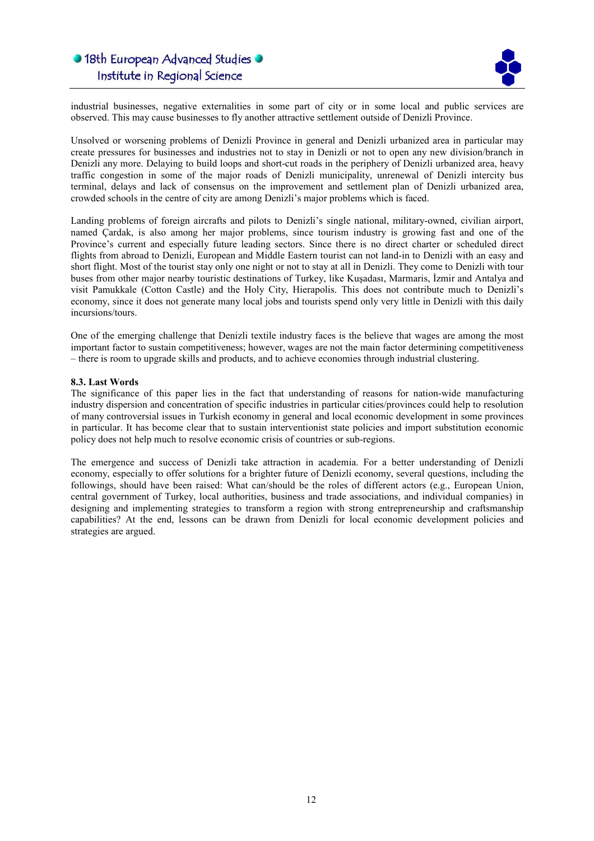

industrial businesses, negative externalities in some part of city or in some local and public services are observed. This may cause businesses to fly another attractive settlement outside of Denizli Province.

l

Unsolved or worsening problems of Denizli Province in general and Denizli urbanized area in particular may create pressures for businesses and industries not to stay in Denizli or not to open any new division/branch in Denizli any more. Delaying to build loops and short-cut roads in the periphery of Denizli urbanized area, heavy traffic congestion in some of the major roads of Denizli municipality, unrenewal of Denizli intercity bus terminal, delays and lack of consensus on the improvement and settlement plan of Denizli urbanized area, crowded schools in the centre of city are among Denizli's major problems which is faced.

Landing problems of foreign aircrafts and pilots to Denizli's single national, military-owned, civilian airport, named Çardak, is also among her major problems, since tourism industry is growing fast and one of the Province's current and especially future leading sectors. Since there is no direct charter or scheduled direct flights from abroad to Denizli, European and Middle Eastern tourist can not land-in to Denizli with an easy and short flight. Most of the tourist stay only one night or not to stay at all in Denizli. They come to Denizli with tour buses from other major nearby touristic destinations of Turkey, like Kuşadası, Marmaris, İzmir and Antalya and visit Pamukkale (Cotton Castle) and the Holy City, Hierapolis. This does not contribute much to Denizli's economy, since it does not generate many local jobs and tourists spend only very little in Denizli with this daily incursions/tours.

One of the emerging challenge that Denizli textile industry faces is the believe that wages are among the most important factor to sustain competitiveness; however, wages are not the main factor determining competitiveness – there is room to upgrade skills and products, and to achieve economies through industrial clustering.

### 8.3. Last Words

The significance of this paper lies in the fact that understanding of reasons for nation-wide manufacturing industry dispersion and concentration of specific industries in particular cities/provinces could help to resolution of many controversial issues in Turkish economy in general and local economic development in some provinces in particular. It has become clear that to sustain interventionist state policies and import substitution economic policy does not help much to resolve economic crisis of countries or sub-regions.

The emergence and success of Denizli take attraction in academia. For a better understanding of Denizli economy, especially to offer solutions for a brighter future of Denizli economy, several questions, including the followings, should have been raised: What can/should be the roles of different actors (e.g., European Union, central government of Turkey, local authorities, business and trade associations, and individual companies) in designing and implementing strategies to transform a region with strong entrepreneurship and craftsmanship capabilities? At the end, lessons can be drawn from Denizli for local economic development policies and strategies are argued.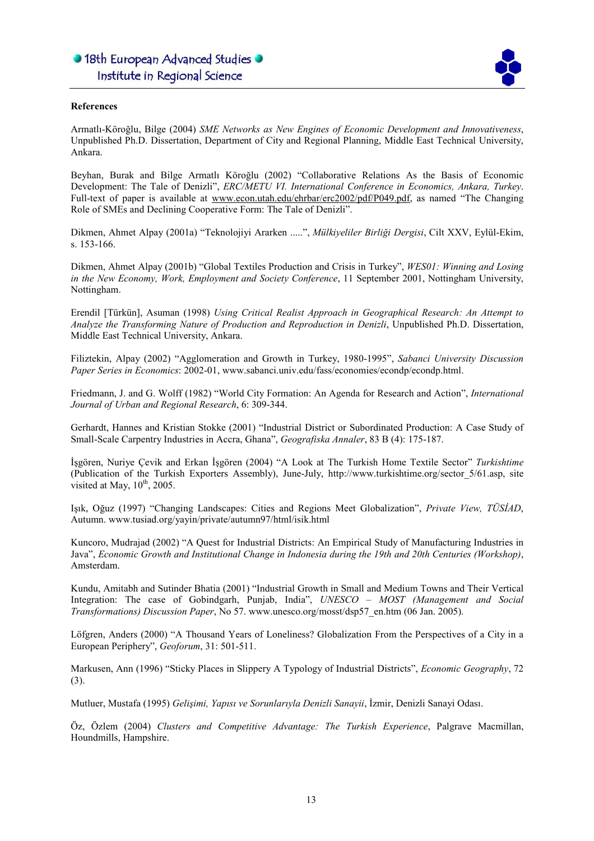

### References

Armatlı-Köroğlu, Bilge (2004) SME Networks as New Engines of Economic Development and Innovativeness, Unpublished Ph.D. Dissertation, Department of City and Regional Planning, Middle East Technical University, Ankara.

l

Beyhan, Burak and Bilge Armatlı Köroğlu (2002) "Collaborative Relations As the Basis of Economic Development: The Tale of Denizli", ERC/METU VI. International Conference in Economics, Ankara, Turkey. Full-text of paper is available at www.econ.utah.edu/ehrbar/erc2002/pdf/P049.pdf, as named "The Changing Role of SMEs and Declining Cooperative Form: The Tale of Denizli".

Dikmen, Ahmet Alpay (2001a) "Teknolojiyi Ararken .....", Mülkiyeliler Birliği Dergisi, Cilt XXV, Eylül-Ekim, s. 153-166.

Dikmen, Ahmet Alpay (2001b) "Global Textiles Production and Crisis in Turkey", WES01: Winning and Losing in the New Economy, Work, Employment and Society Conference, 11 September 2001, Nottingham University, Nottingham.

Erendil [Türkün], Asuman (1998) Using Critical Realist Approach in Geographical Research: An Attempt to Analyze the Transforming Nature of Production and Reproduction in Denizli, Unpublished Ph.D. Dissertation, Middle East Technical University, Ankara.

Filiztekin, Alpay (2002) "Agglomeration and Growth in Turkey, 1980-1995", Sabanci University Discussion Paper Series in Economics: 2002-01, www.sabanci.univ.edu/fass/economies/econdp/econdp.html.

Friedmann, J. and G. Wolff (1982) "World City Formation: An Agenda for Research and Action", International Journal of Urban and Regional Research, 6: 309-344.

Gerhardt, Hannes and Kristian Stokke (2001) "Industrial District or Subordinated Production: A Case Study of Small-Scale Carpentry Industries in Accra, Ghana", Geografiska Annaler, 83 B (4): 175-187.

İşgören, Nuriye Çevik and Erkan İşgören (2004) "A Look at The Turkish Home Textile Sector" Turkishtime (Publication of the Turkish Exporters Assembly), June-July, http://www.turkishtime.org/sector\_5/61.asp, site visited at May,  $10^{th}$ , 2005.

Işık, Oğuz (1997) "Changing Landscapes: Cities and Regions Meet Globalization", Private View, TÜSİAD, Autumn. www.tusiad.org/yayin/private/autumn97/html/isik.html

Kuncoro, Mudrajad (2002) "A Quest for Industrial Districts: An Empirical Study of Manufacturing Industries in Java", Economic Growth and Institutional Change in Indonesia during the 19th and 20th Centuries (Workshop), Amsterdam.

Kundu, Amitabh and Sutinder Bhatia (2001) "Industrial Growth in Small and Medium Towns and Their Vertical Integration: The case of Gobindgarh, Punjab, India", UNESCO – MOST (Management and Social Transformations) Discussion Paper, No 57. www.unesco.org/mosst/dsp57\_en.htm (06 Jan. 2005).

Löfgren, Anders (2000) "A Thousand Years of Loneliness? Globalization From the Perspectives of a City in a European Periphery", Geoforum, 31: 501-511.

Markusen, Ann (1996) "Sticky Places in Slippery A Typology of Industrial Districts", Economic Geography, 72 (3).

Mutluer, Mustafa (1995) Gelişimi, Yapısı ve Sorunlarıyla Denizli Sanayii, İzmir, Denizli Sanayi Odası.

Öz, Özlem (2004) Clusters and Competitive Advantage: The Turkish Experience, Palgrave Macmillan, Houndmills, Hampshire.